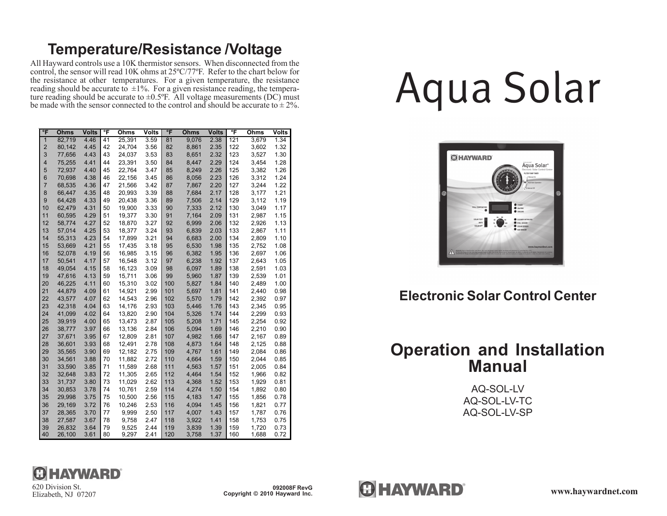# **Temperature/Resistance /Voltage**

All Hayward controls use a 10K thermistor sensors. When disconnected from the control, the sensor will read 10K ohms at 25ºC/77ºF. Refer to the chart below for the resistance at other temperatures. For a given temperature, the resistance reading should be accurate to  $\pm 1\%$ . For a given resistance reading, the temperature reading should be accurate to  $\pm 0.5$ °F. All voltage measurements (DC) must be made with the sensor connected to the control and should be accurate to  $\pm 2\%$ .

| °F                      | <b>Ohms</b> | <b>Volts</b> | ℃F | Ohms   | Volts | °F  | <b>Ohms</b> | <b>Volts</b> | ℃F  | Ohms  | <b>Volts</b> |
|-------------------------|-------------|--------------|----|--------|-------|-----|-------------|--------------|-----|-------|--------------|
| $\overline{1}$          | 82.719      | 4.46         | 41 | 25,391 | 3.59  | 81  | 9,076       | 2.38         | 121 | 3,679 | 1.34         |
| $\overline{\mathbf{c}}$ | 80,142      | 4.45         | 42 | 24,704 | 3.56  | 82  | 8,861       | 2.35         | 122 | 3,602 | 1.32         |
| 3                       | 77,656      | 4.43         | 43 | 24,037 | 3.53  | 83  | 8,651       | 2.32         | 123 | 3,527 | 1.30         |
| $\overline{\mathbf{4}}$ | 75,255      | 4.41         | 44 | 23,391 | 3.50  | 84  | 8,447       | 2.29         | 124 | 3,454 | 1.28         |
| 5                       | 72,937      | 4.40         | 45 | 22,764 | 3.47  | 85  | 8,249       | 2.26         | 125 | 3,382 | 1.26         |
| $6\phantom{1}$          | 70,698      | 4.38         | 46 | 22,156 | 3.45  | 86  | 8,056       | 2.23         | 126 | 3,312 | 1.24         |
| $\overline{7}$          | 68,535      | 4.36         | 47 | 21,566 | 3.42  | 87  | 7,867       | 2.20         | 127 | 3,244 | 1.22         |
| 8                       | 66,447      | 4.35         | 48 | 20,993 | 3.39  | 88  | 7,684       | 2.17         | 128 | 3,177 | 1.21         |
| 9                       | 64,428      | 4.33         | 49 | 20,438 | 3.36  | 89  | 7,506       | 2.14         | 129 | 3,112 | 1.19         |
| 10                      | 62,479      | 4.31         | 50 | 19,900 | 3.33  | 90  | 7,333       | 2.12         | 130 | 3,049 | 1.17         |
| 11                      | 60,595      | 4.29         | 51 | 19,377 | 3.30  | 91  | 7,164       | 2.09         | 131 | 2,987 | 1.15         |
| 12                      | 58,774      | 4.27         | 52 | 18,870 | 3.27  | 92  | 6,999       | 2.06         | 132 | 2,926 | 1.13         |
| 13                      | 57,014      | 4.25         | 53 | 18,377 | 3.24  | 93  | 6,839       | 2.03         | 133 | 2,867 | 1.11         |
| 14                      | 55,313      | 4.23         | 54 | 17,899 | 3.21  | 94  | 6,683       | 2.00         | 134 | 2,809 | 1.10         |
| 15                      | 53,669      | 4.21         | 55 | 17,435 | 3.18  | 95  | 6,530       | 1.98         | 135 | 2,752 | 1.08         |
| 16                      | 52,078      | 4.19         | 56 | 16,985 | 3.15  | 96  | 6,382       | 1.95         | 136 | 2,697 | 1.06         |
| 17                      | 50,541      | 4.17         | 57 | 16,548 | 3.12  | 97  | 6,238       | 1.92         | 137 | 2,643 | 1.05         |
| 18                      | 49,054      | 4.15         | 58 | 16,123 | 3.09  | 98  | 6,097       | 1.89         | 138 | 2,591 | 1.03         |
| 19                      | 47,616      | 4.13         | 59 | 15.711 | 3.06  | 99  | 5,960       | 1.87         | 139 | 2,539 | 1.01         |
| 20                      | 46,225      | 4.11         | 60 | 15,310 | 3.02  | 100 | 5,827       | 1.84         | 140 | 2,489 | 1.00         |
| 21                      | 44,879      | 4.09         | 61 | 14,921 | 2.99  | 101 | 5,697       | 1.81         | 141 | 2,440 | 0.98         |
| 22                      | 43,577      | 4.07         | 62 | 14,543 | 2.96  | 102 | 5,570       | 1.79         | 142 | 2,392 | 0.97         |
| 23                      | 42,318      | 4.04         | 63 | 14,176 | 2.93  | 103 | 5,446       | 1.76         | 143 | 2,345 | 0.95         |
| 24                      | 41,099      | 4.02         | 64 | 13,820 | 2.90  | 104 | 5,326       | 1.74         | 144 | 2,299 | 0.93         |
| 25                      | 39,919      | 4.00         | 65 | 13,473 | 2.87  | 105 | 5,208       | 1.71         | 145 | 2,254 | 0.92         |
| 26                      | 38,777      | 3.97         | 66 | 13,136 | 2.84  | 106 | 5,094       | 1.69         | 146 | 2,210 | 0.90         |
| 27                      | 37,671      | 3.95         | 67 | 12,809 | 2.81  | 107 | 4,982       | 1.66         | 147 | 2,167 | 0.89         |
| 28                      | 36,601      | 3.93         | 68 | 12,491 | 2.78  | 108 | 4,873       | 1.64         | 148 | 2,125 | 0.88         |
| 29                      | 35,565      | 3.90         | 69 | 12,182 | 2.75  | 109 | 4,767       | 1.61         | 149 | 2,084 | 0.86         |
| 30                      | 34,561      | 3.88         | 70 | 11,882 | 2.72  | 110 | 4,664       | 1.59         | 150 | 2,044 | 0.85         |
| 31                      | 33,590      | 3.85         | 71 | 11,589 | 2.68  | 111 | 4,563       | 1.57         | 151 | 2,005 | 0.84         |
| 32                      | 32,648      | 3.83         | 72 | 11,305 | 2.65  | 112 | 4,464       | 1.54         | 152 | 1,966 | 0.82         |
| 33                      | 31,737      | 3.80         | 73 | 11,029 | 2.62  | 113 | 4,368       | 1.52         | 153 | 1,929 | 0.81         |
| 34                      | 30,853      | 3.78         | 74 | 10,761 | 2.59  | 114 | 4,274       | 1.50         | 154 | 1,892 | 0.80         |
| 35                      | 29,998      | 3.75         | 75 | 10,500 | 2.56  | 115 | 4,183       | 1.47         | 155 | 1,856 | 0.78         |
| 36                      | 29,169      | 3.72         | 76 | 10,246 | 2.53  | 116 | 4,094       | 1.45         | 156 | 1,821 | 0.77         |
| 37                      | 28,365      | 3.70         | 77 | 9,999  | 2.50  | 117 | 4,007       | 1.43         | 157 | 1,787 | 0.76         |
| 38                      | 27,587      | 3.67         | 78 | 9,758  | 2.47  | 118 | 3,922       | 1.41         | 158 | 1,753 | 0.75         |
| 39                      | 26,832      | 3.64         | 79 | 9,525  | 2.44  | 119 | 3,839       | 1.39         | 159 | 1,720 | 0.73         |
| 40                      | 26,100      | 3.61         | 80 | 9,297  | 2.41  | 120 | 3,758       | 1.37         | 160 | 1,688 | 0.72         |

# Aqua Solar



# **Electronic Solar Control Center**

# **Operation and Installation Manual**

AQ-SOL-LV AQ-SOL-LV-TC AQ-SOL-LV-SP



Elizabeth, NJ 07207

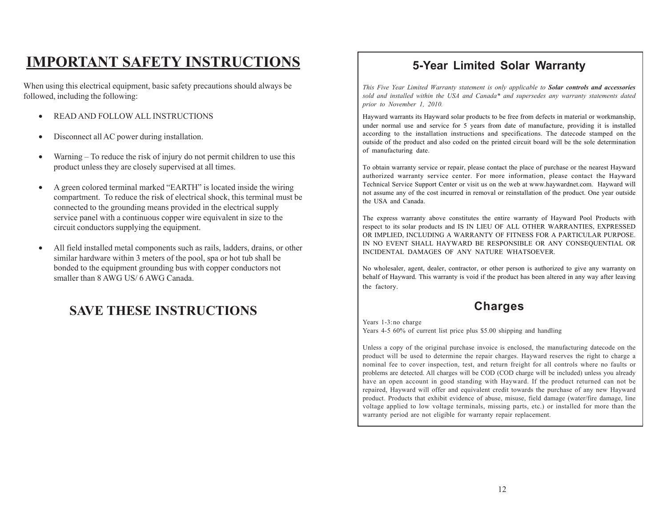# **IMPORTANT SAFETY INSTRUCTIONS**

When using this electrical equipment, basic safety precautions should always be followed, including the following:

- READ AND FOLLOW ALL INSTRUCTIONS
- Disconnect all AC power during installation.
- Warning To reduce the risk of injury do not permit children to use this product unless they are closely supervised at all times.
- A green colored terminal marked "EARTH" is located inside the wiring compartment. To reduce the risk of electrical shock, this terminal must be connected to the grounding means provided in the electrical supply service panel with a continuous copper wire equivalent in size to the circuit conductors supplying the equipment.
- All field installed metal components such as rails, ladders, drains, or other similar hardware within 3 meters of the pool, spa or hot tub shall be bonded to the equipment grounding bus with copper conductors not smaller than 8 AWG US/ 6 AWG Canada.

# **SAVE THESE INSTRUCTIONS**

# **5-Year Limited Solar Warranty**

*This Five Year Limited Warranty statement is only applicable to Solar controls and accessories sold and installed within the USA and Canada\* and supersedes any warranty statements dated prior to November 1, 2010.*

Hayward warrants its Hayward solar products to be free from defects in material or workmanship, under normal use and service for 5 years from date of manufacture, providing it is installed according to the installation instructions and specifications. The datecode stamped on the outside of the product and also coded on the printed circuit board will be the sole determination of manufacturing date.

To obtain warranty service or repair, please contact the place of purchase or the nearest Hayward authorized warranty service center. For more information, please contact the Hayward Technical Service Support Center or visit us on the web at www.haywardnet.com. Hayward will not assume any of the cost incurred in removal or reinstallation of the product. One year outside the USA and Canada.

The express warranty above constitutes the entire warranty of Hayward Pool Products with respect to its solar products and IS IN LIEU OF ALL OTHER WARRANTIES, EXPRESSED OR IMPLIED, INCLUDING A WARRANTY OF FITNESS FOR A PARTICULAR PURPOSE. IN NO EVENT SHALL HAYWARD BE RESPONSIBLE OR ANY CONSEQUENTIAL OR INCIDENTAL DAMAGES OF ANY NATURE WHATSOEVER.

No wholesaler, agent, dealer, contractor, or other person is authorized to give any warranty on behalf of Hayward. This warranty is void if the product has been altered in any way after leaving the factory.

## **Charges**

Years 1-3:no charge Years 4-5 60% of current list price plus \$5.00 shipping and handling

Unless a copy of the original purchase invoice is enclosed, the manufacturing datecode on the product will be used to determine the repair charges. Hayward reserves the right to charge a nominal fee to cover inspection, test, and return freight for all controls where no faults or problems are detected. All charges will be COD (COD charge will be included) unless you already have an open account in good standing with Hayward. If the product returned can not be repaired, Hayward will offer and equivalent credit towards the purchase of any new Hayward product. Products that exhibit evidence of abuse, misuse, field damage (water/fire damage, line voltage applied to low voltage terminals, missing parts, etc.) or installed for more than the warranty period are not eligible for warranty repair replacement.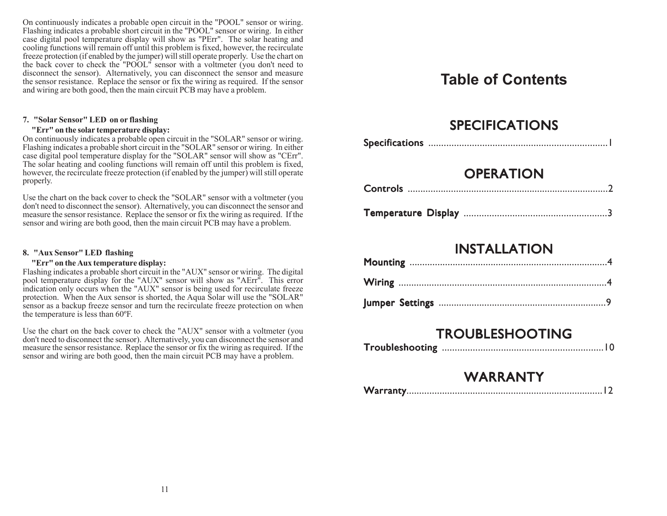On continuously indicates a probable open circuit in the "POOL" sensor or wiring. Flashing indicates a probable short circuit in the "POOL" sensor or wiring. In either case digital pool temperature display will show as "PErr". The solar heating and cooling functions will remain off until this problem is fixed, however, the recirculate freeze protection (if enabled by the jumper) will still operate properly. Use the chart on the back cover to check the "POOL" sensor with a voltmeter (you don't need to disconnect the sensor). Alternatively, you can disconnect the sensor and measure the sensor resistance. Replace the sensor or fix the wiring as required. If the sensor and wiring are both good, then the main circuit PCB may have a problem.

#### **7. "Solar Sensor" LED on or flashing**

#### **"Err" on the solar temperature display:**

On continuously indicates a probable open circuit in the "SOLAR" sensor or wiring. Flashing indicates a probable short circuit in the "SOLAR" sensor or wiring. In either case digital pool temperature display for the "SOLAR" sensor will show as "CErr". The solar heating and cooling functions will remain off until this problem is fixed, however, the recirculate freeze protection (if enabled by the jumper) will still operate properly.

Use the chart on the back cover to check the "SOLAR" sensor with a voltmeter (you don't need to disconnect the sensor). Alternatively, you can disconnect the sensor and measure the sensor resistance. Replace the sensor or fix the wiring as required. If the sensor and wiring are both good, then the main circuit PCB may have a problem.

#### **8. "Aux Sensor" LED flashing**

#### **"Err" on the Aux temperature display:**

Flashing indicates a probable short circuit in the "AUX" sensor or wiring. The digital pool temperature display for the "AUX" sensor will show as "AErr". This error indication only occurs when the "AUX" sensor is being used for recirculate freeze protection. When the Aux sensor is shorted, the Aqua Solar will use the "SOLAR" sensor as a backup freeze sensor and turn the recirculate freeze protection on when the temperature is less than 60ºF.

Use the chart on the back cover to check the "AUX" sensor with a voltmeter (you don't need to disconnect the sensor). Alternatively, you can disconnect the sensor and measure the sensor resistance. Replace the sensor or fix the wiring as required. If the sensor and wiring are both good, then the main circuit PCB may have a problem.

# **Table of Contents**

# **SPECIFICATIONS**

# **OPERATION**

|--|--|--|

| <b>Temperature Display</b> |  |  |
|----------------------------|--|--|
|----------------------------|--|--|

# INSTALLATION

# TROUBLESHOOTING

|--|--|

# WARRANTY

|--|--|--|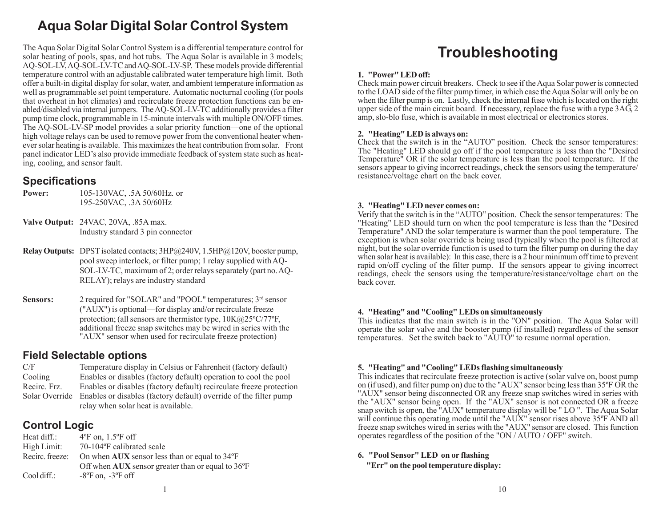# **Aqua Solar Digital Solar Control System**

The Aqua Solar Digital Solar Control System is a differential temperature control for solar heating of pools, spas, and hot tubs. The Aqua Solar is available in 3 models; AQ-SOL-LV, AQ-SOL-LV-TC and AQ-SOL-LV-SP. These models provide differential temperature control with an adjustable calibrated water temperature high limit. Both offer a built-in digital display for solar, water, and ambient temperature information as well as programmable set point temperature. Automatic nocturnal cooling (for pools that overheat in hot climates) and recirculate freeze protection functions can be enabled/disabled via internal jumpers. The AQ-SOL-LV-TC additionally provides a filter pump time clock, programmable in 15-minute intervals with multiple ON/OFF times. The AQ-SOL-LV-SP model provides a solar priority function—one of the optional high voltage relays can be used to remove power from the conventional heater whenever solar heating is available. This maximizes the heat contribution from solar. Front panel indicator LED's also provide immediate feedback of system state such as heating, cooling, and sensor fault.

## **Specifications**

**Power:** 105-130VAC, .5A 50/60Hz. or 195-250VAC, .3A 50/60Hz

**Valve Output:** 24VAC, 20VA, .85A max. Industry standard 3 pin connector

- **Relay Outputs:** DPST isolated contacts; 3HP@240V, 1.5HP@120V, booster pump, pool sweep interlock, or filter pump; 1 relay supplied with AQ-SOL-LV-TC, maximum of 2; order relays separately (part no. AQ-RELAY); relays are industry standard
- **Sensors:** 2 required for "SOLAR" and "POOL" temperatures;  $3^{rd}$  sensor ("AUX") is optional—for display and/or recirculate freeze protection; (all sensors are thermistor type, 10K@25ºC/77ºF, additional freeze snap switches may be wired in series with the "AUX" sensor when used for recirculate freeze protection)

## **Field Selectable options**

| C/F            | Temperature display in Celsius or Fahrenheit (factory default)      |
|----------------|---------------------------------------------------------------------|
| Cooling        | Enables or disables (factory default) operation to cool the pool    |
| Recirc. Frz.   | Enables or disables (factory default) recirculate freeze protection |
| Solar Override | Enables or disables (factory default) override of the filter pump   |
|                | relay when solar heat is available.                                 |

## **Control Logic**

| Heat diff.:         | $4^{\circ}$ F on, 1.5 $^{\circ}$ F off                   |
|---------------------|----------------------------------------------------------|
| High Limit:         | 70-104°F calibrated scale                                |
| Recirc, freeze:     | On when $AUX$ sensor less than or equal to $34^{\circ}F$ |
|                     | Off when AUX sensor greater than or equal to 36°F        |
| $\text{Cool diff.}$ | $-8$ °F on, $-3$ °F off                                  |
|                     |                                                          |

# **Troubleshooting**

#### **1. "Power" LED off:**

Check main power circuit breakers. Check to see if the Aqua Solar power is connected to the LOAD side of the filter pump timer, in which case the Aqua Solar will only be on when the filter pump is on. Lastly, check the internal fuse which is located on the right upper side of the main circuit board. If necessary, replace the fuse with a type 3AG, 2 amp, slo-blo fuse, which is available in most electrical or electronics stores.

#### **2. "Heating" LED is always on:**

Check that the switch is in the "AUTO" position. Check the sensor temperatures: The "Heating" LED should go off if the pool temperature is less than the "Desired Temperature" OR if the solar temperature is less than the pool temperature. If the sensors appear to giving incorrect readings, check the sensors using the temperature/ resistance/voltage chart on the back cover.

#### **3. "Heating" LED never comes on:**

Verify that the switch is in the "AUTO" position. Check the sensor temperatures: The "Heating" LED should turn on when the pool temperature is less than the "Desired Temperature" AND the solar temperature is warmer than the pool temperature. The exception is when solar override is being used (typically when the pool is filtered at night, but the solar override function is used to turn the filter pump on during the day when solar heat is available): In this case, there is a 2 hour minimum off time to prevent rapid on/off cycling of the filter pump. If the sensors appear to giving incorrect readings, check the sensors using the temperature/resistance/voltage chart on the back cover.

#### **4. "Heating" and "Cooling" LEDs on simultaneously**

This indicates that the main switch is in the "ON" position. The Aqua Solar will operate the solar valve and the booster pump (if installed) regardless of the sensor temperatures. Set the switch back to "AUTO" to resume normal operation.

#### **5. "Heating" and "Cooling" LEDs flashing simultaneously**

This indicates that recirculate freeze protection is active (solar valve on, boost pump on (if used), and filter pump on) due to the "AUX" sensor being less than 35ºF OR the "AUX" sensor being disconnected OR any freeze snap switches wired in series with the "AUX" sensor being open. If the "AUX" sensor is not connected OR a freeze snap switch is open, the "AUX" temperature display will be " LO ". The Aqua Solar will continue this operating mode until the "AUX" sensor rises above 35<sup>o</sup>F AND all freeze snap switches wired in series with the "AUX" sensor are closed. This function operates regardless of the position of the "ON / AUTO / OFF" switch.

#### **6. "Pool Sensor" LED on or flashing**

 **"Err" on the pool temperature display:**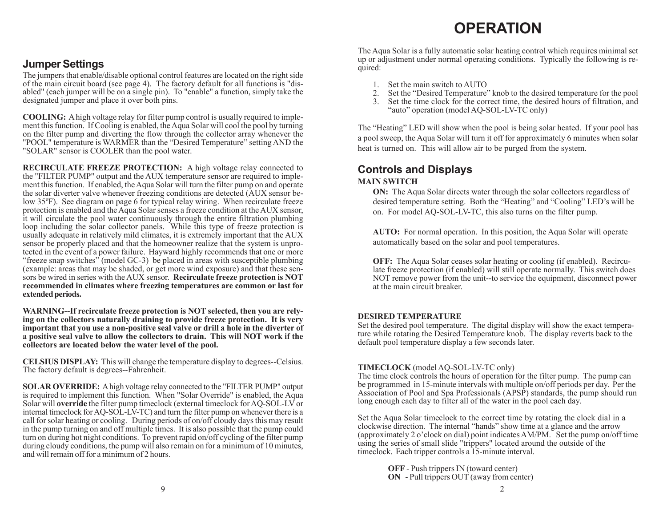# **OPERATION**

## **Jumper Settings**

The jumpers that enable/disable optional control features are located on the right side of the main circuit board (see page 4). The factory default for all functions is "disabled" (each jumper will be on a single pin). To "enable" a function, simply take the designated jumper and place it over both pins.

**COOLING:** A high voltage relay for filter pump control is usually required to implement this function. If Cooling is enabled, the Aqua Solar will cool the pool by turning on the filter pump and diverting the flow through the collector array whenever the "POOL" temperature is WARMER than the "Desired Temperature" setting AND the "SOLAR" sensor is COOLER than the pool water.

**RECIRCULATE FREEZE PROTECTION:** A high voltage relay connected to the "FILTER PUMP" output and the AUX temperature sensor are required to implement this function. If enabled, the Aqua Solar will turn the filter pump on and operate the solar diverter valve whenever freezing conditions are detected (AUX sensor below 35ºF). See diagram on page 6 for typical relay wiring. When recirculate freeze protection is enabled and the Aqua Solar senses a freeze condition at the AUX sensor, it will circulate the pool water continuously through the entire filtration plumbing loop including the solar collector panels. While this type of freeze protection is usually adequate in relatively mild climates, it is extremely important that the AUX sensor be properly placed and that the homeowner realize that the system is unprotected in the event of a power failure. Hayward highly recommends that one or more "freeze snap switches" (model GC-3) be placed in areas with susceptible plumbing (example: areas that may be shaded, or get more wind exposure) and that these sensors be wired in series with the AUX sensor. **Recirculate freeze protection is NOT recommended in climates where freezing temperatures are common or last for extended periods.**

**WARNING--If recirculate freeze protection is NOT selected, then you are relying on the collectors naturally draining to provide freeze protection. It is very important that you use a non-positive seal valve or drill a hole in the diverter of a positive seal valve to allow the collectors to drain. This will NOT work if the collectors are located below the water level of the pool.**

**CELSIUS DISPLAY:** This will change the temperature display to degrees--Celsius. The factory default is degrees--Fahrenheit.

**SOLAR OVERRIDE:** A high voltage relay connected to the "FILTER PUMP" output is required to implement this function. When "Solar Override" is enabled, the Aqua Solar will **override** the filter pump timeclock (external timeclock for AQ-SOL-LV or internal timeclock for AQ-SOL-LV-TC) and turn the filter pump on whenever there is a call for solar heating or cooling. During periods of on/off cloudy days this may result in the pump turning on and off multiple times. It is also possible that the pump could turn on during hot night conditions. To prevent rapid on/off cycling of the filter pump during cloudy conditions, the pump will also remain on for a minimum of 10 minutes, and will remain off for a minimum of 2 hours.

The Aqua Solar is a fully automatic solar heating control which requires minimal set up or adjustment under normal operating conditions. Typically the following is required:

- 1. Set the main switch to AUTO<br>2. Set the "Desired Temperature"
- 2. Set the "Desired Temperature" knob to the desired temperature for the pool
- Set the time clock for the correct time, the desired hours of filtration, and "auto" operation (model AQ-SOL-LV-TC only)

The "Heating" LED will show when the pool is being solar heated. If your pool has a pool sweep, the Aqua Solar will turn it off for approximately 6 minutes when solar heat is turned on. This will allow air to be purged from the system.

## **Controls and Displays**

#### **MAIN SWITCH**

**ON:** The Aqua Solar directs water through the solar collectors regardless of desired temperature setting. Both the "Heating" and "Cooling" LED's will be on. For model AQ-SOL-LV-TC, this also turns on the filter pump.

**AUTO:** For normal operation. In this position, the Aqua Solar will operate automatically based on the solar and pool temperatures.

**OFF:** The Aqua Solar ceases solar heating or cooling (if enabled). Recirculate freeze protection (if enabled) will still operate normally. This switch does NOT remove power from the unit--to service the equipment, disconnect power at the main circuit breaker.

#### **DESIRED TEMPERATURE**

Set the desired pool temperature. The digital display will show the exact temperature while rotating the Desired Temperature knob. The display reverts back to the default pool temperature display a few seconds later.

#### **TIMECLOCK** (model AQ-SOL-LV-TC only)

The time clock controls the hours of operation for the filter pump. The pump can be programmed in 15-minute intervals with multiple on/off periods per day. Per the Association of Pool and Spa Professionals (APSP) standards, the pump should run long enough each day to filter all of the water in the pool each day.

Set the Aqua Solar timeclock to the correct time by rotating the clock dial in a clockwise direction. The internal "hands" show time at a glance and the arrow (approximately 2 o'clock on dial) point indicates AM/PM. Set the pump on/off time using the series of small slide "trippers" located around the outside of the timeclock. Each tripper controls a 15-minute interval.

> **OFF** - Push trippers IN (toward center) **ON** - Pull trippers OUT (away from center)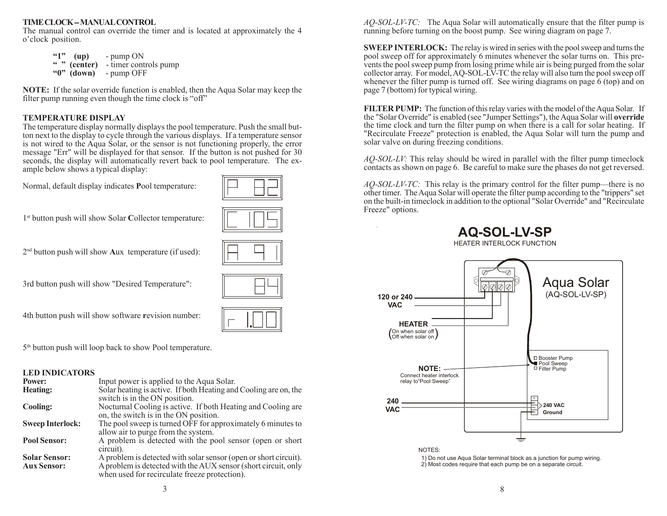#### **TIME CLOCK -- MANUAL CONTROL**

The manual control can override the timer and is located at approximately the 4 o'clock position.

| 651 | $\mathbf{u}(\mathbf{u})$ | - pump ON             |
|-----|--------------------------|-----------------------|
|     | $\lq$ $\lq$ (center)     | - timer controls pump |
|     | " $0$ " (down)           | - pump OFF            |

**NOTE:** If the solar override function is enabled, then the Aqua Solar may keep the filter pump running even though the time clock is "off"

#### **TEMPERATURE DISPLAY**

The temperature display normally displays the pool temperature. Push the small button next to the display to cycle through the various displays. If a temperature sensor is not wired to the Aqua Solar, or the sensor is not functioning properly, the error message "Err" will be displayed for that sensor. If the button is not pushed for 30 seconds, the display will automatically revert back to pool temperature. The example below shows a typical display:

Normal, default display indicates **P**ool temperature:



1st button push will show Solar **C**ollector temperature:



2nd button push will show **A**ux temperature (if used):

3rd button push will show "Desired Temperature":

4th button push will show software **r**evision number:

5<sup>th</sup> button push will loop back to show Pool temperature.

#### **LED INDICATORS**

| Power:                  | Input power is applied to the Aqua Solar.                        |
|-------------------------|------------------------------------------------------------------|
| <b>Heating:</b>         | Solar heating is active. If both Heating and Cooling are on, the |
|                         | switch is in the ON position.                                    |
| Cooling:                | Nocturnal Cooling is active. If both Heating and Cooling are     |
|                         | on, the switch is in the ON position.                            |
| <b>Sweep Interlock:</b> | The pool sweep is turned OFF for approximately 6 minutes to      |
|                         | allow air to purge from the system.                              |
| <b>Pool Sensor:</b>     | A problem is detected with the pool sensor (open or short)       |
|                         | circuit).                                                        |
| <b>Solar Sensor:</b>    | A problem is detected with solar sensor (open or short circuit). |
| <b>Aux Sensor:</b>      | A problem is detected with the AUX sensor (short circuit, only   |
|                         | when used for recirculate freeze protection).                    |

*AQ-SOL-LV-TC:* The Aqua Solar will automatically ensure that the filter pump is running before turning on the boost pump. See wiring diagram on page 7.

**SWEEP INTERLOCK:** The relay is wired in series with the pool sweep and turns the pool sweep off for approximately 6 minutes whenever the solar turns on. This prevents the pool sweep pump from losing prime while air is being purged from the solar collector array. For model, AQ-SOL-LV-TC the relay will also turn the pool sweep off whenever the filter pump is turned off. See wiring diagrams on page 6 (top) and on page 7 (bottom) for typical wiring.

**FILTER PUMP:** The function of this relay varies with the model of the Aqua Solar. If the "Solar Override" is enabled (see "Jumper Settings"), the Aqua Solar will **override** the time clock and turn the filter pump on when there is a call for solar heating. If "Recirculate Freeze" protection is enabled, the Aqua Solar will turn the pump and solar valve on during freezing conditions.

*AQ-SOL-LV:* This relay should be wired in parallel with the filter pump timeclock contacts as shown on page 6. Be careful to make sure the phases do not get reversed.

*AQ-SOL-LV-TC:* This relay is the primary control for the filter pump—there is no other timer. The Aqua Solar will operate the filter pump according to the "trippers" set on the built-in timeclock in addition to the optional "Solar Override" and "Recirculate Freeze" options.





1) Do not use Aqua Solar terminal block as a junction for pump wiring. 2) Most codes require that each pump be on a separate circuit.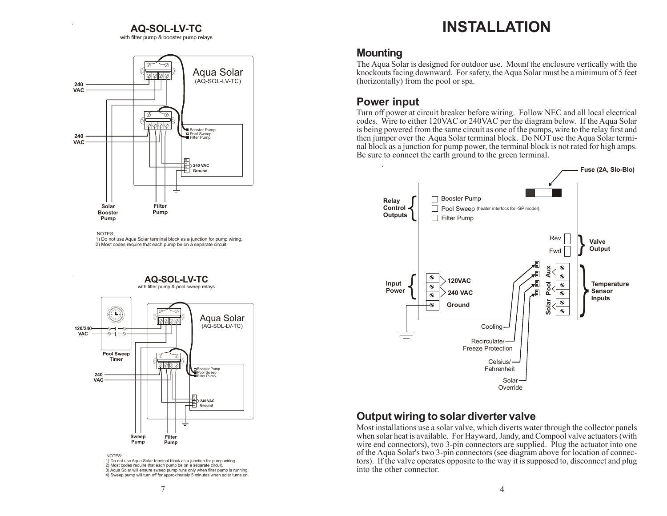#### **AQ-SOL-LV-TC**

with filter pump & booster pump relays



NOTES:

1) Do not use Aqua Solar terminal block as a junction for pump wiring. 2) Most codes require that each pump be on a separate circuit.

## **AQ-SOL-LV-TC**

with filter pump & pool sweep relays



NOTES:

1) Do not use Aqua Solar terminal block as a junction for pump wiring. 2) Most codes require that each pump be on a separate circuit. 3) Aqua Solar will ensure sweep pump runs only when filter pump is running. 4) Sweep pump will turn off for approximately 5 minutes when solar turns on.

# **INSTALLATION**

### **Mounting**

The Aqua Solar is designed for outdoor use. Mount the enclosure vertically with the knockouts facing downward. For safety, the Aqua Solar must be a minimum of 5 feet (horizontally) from the pool or spa.

## **Power input**

Turn off power at circuit breaker before wiring. Follow NEC and all local electrical codes. Wire to either 120VAC or 240VAC per the diagram below. If the Aqua Solar is being powered from the same circuit as one of the pumps, wire to the relay first and then jumper over the Aqua Solar terminal block. Do NOT use the Aqua Solar terminal block as a junction for pump power, the terminal block is not rated for high amps. Be sure to connect the earth ground to the green terminal.



## **Output wiring to solar diverter valve**

Most installations use a solar valve, which diverts water through the collector panels when solar heat is available. For Hayward, Jandy, and Compool valve actuators (with wire end connectors), two 3-pin connectors are supplied. Plug the actuator into one of the Aqua Solar's two 3-pin connectors (see diagram above for location of connectors). If the valve operates opposite to the way it is supposed to, disconnect and plug into the other connector.